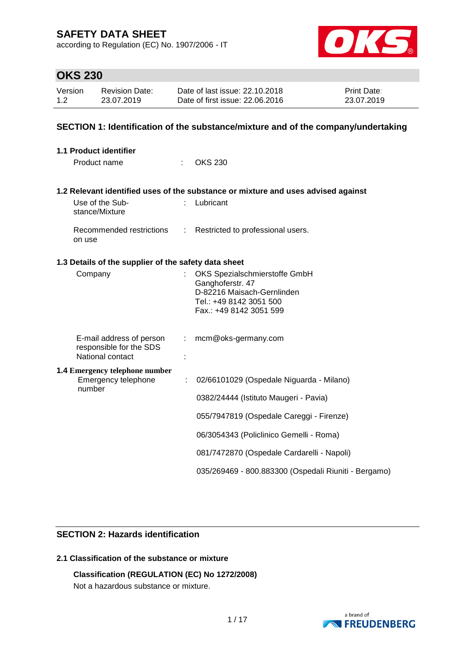according to Regulation (EC) No. 1907/2006 - IT



## **OKS 230**

| Version | Revision Date: | Date of last issue: 22.10.2018  | <b>Print Date:</b> |
|---------|----------------|---------------------------------|--------------------|
| 1.2     | 23.07.2019     | Date of first issue: 22,06,2016 | 23.07.2019         |

### **SECTION 1: Identification of the substance/mixture and of the company/undertaking**

|         | <b>1.1 Product identifier</b>                                |                                                   |                                                                                   |
|---------|--------------------------------------------------------------|---------------------------------------------------|-----------------------------------------------------------------------------------|
|         | Product name                                                 |                                                   | <b>OKS 230</b>                                                                    |
|         |                                                              |                                                   | 1.2 Relevant identified uses of the substance or mixture and uses advised against |
|         | Use of the Sub-<br>stance/Mixture                            |                                                   | Lubricant                                                                         |
|         | Recommended restrictions :<br>on use                         |                                                   | Restricted to professional users.                                                 |
|         | 1.3 Details of the supplier of the safety data sheet         |                                                   |                                                                                   |
| Company |                                                              | OKS Spezialschmierstoffe GmbH<br>Ganghoferstr. 47 |                                                                                   |
|         |                                                              |                                                   | D-82216 Maisach-Gernlinden                                                        |
|         |                                                              |                                                   | Tel.: +49 8142 3051 500                                                           |
|         |                                                              |                                                   | Fax.: +49 8142 3051 599                                                           |
|         | E-mail address of person                                     |                                                   | mcm@oks-germany.com                                                               |
|         | responsible for the SDS<br>National contact                  |                                                   |                                                                                   |
|         | <b>1.4 Emergency telephone number</b><br>Emergency telephone | ÷                                                 | 02/66101029 (Ospedale Niguarda - Milano)                                          |
|         | number                                                       |                                                   | 0382/24444 (Istituto Maugeri - Pavia)                                             |
|         |                                                              |                                                   | 055/7947819 (Ospedale Careggi - Firenze)                                          |
|         |                                                              |                                                   | 06/3054343 (Policlinico Gemelli - Roma)                                           |
|         |                                                              |                                                   | 081/7472870 (Ospedale Cardarelli - Napoli)                                        |
|         |                                                              |                                                   | 035/269469 - 800.883300 (Ospedali Riuniti - Bergamo)                              |

### **SECTION 2: Hazards identification**

### **2.1 Classification of the substance or mixture**

### **Classification (REGULATION (EC) No 1272/2008)**

Not a hazardous substance or mixture.

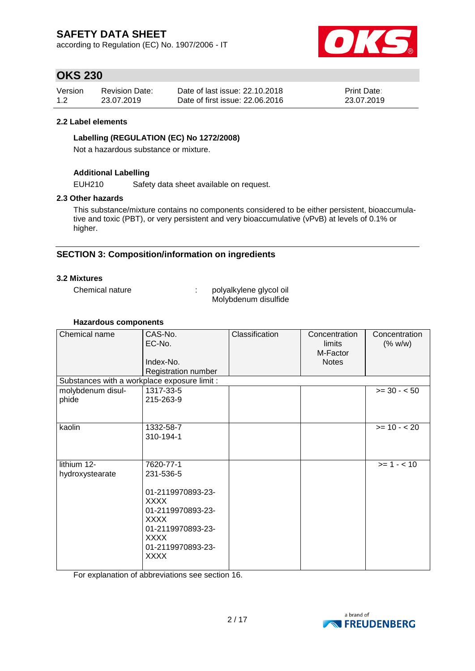according to Regulation (EC) No. 1907/2006 - IT



## **OKS 230**

| Version | <b>Revision Date:</b> | Date of last issue: 22.10.2018  | <b>Print Date:</b> |
|---------|-----------------------|---------------------------------|--------------------|
| 1.2     | 23.07.2019            | Date of first issue: 22,06,2016 | 23.07.2019         |

### **2.2 Label elements**

### **Labelling (REGULATION (EC) No 1272/2008)**

Not a hazardous substance or mixture.

### **Additional Labelling**

EUH210 Safety data sheet available on request.

#### **2.3 Other hazards**

This substance/mixture contains no components considered to be either persistent, bioaccumulative and toxic (PBT), or very persistent and very bioaccumulative (vPvB) at levels of 0.1% or higher.

### **SECTION 3: Composition/information on ingredients**

### **3.2 Mixtures**

Chemical nature : polyalkylene glycol oil Molybdenum disulfide

#### **Hazardous components**

| Chemical name                                | CAS-No.<br>EC-No.<br>Index-No.<br>Registration number                                                                                                           | Classification | Concentration<br>limits<br>M-Factor<br><b>Notes</b> | Concentration<br>(% w/w) |
|----------------------------------------------|-----------------------------------------------------------------------------------------------------------------------------------------------------------------|----------------|-----------------------------------------------------|--------------------------|
| Substances with a workplace exposure limit : |                                                                                                                                                                 |                |                                                     |                          |
| molybdenum disul-                            | 1317-33-5                                                                                                                                                       |                |                                                     | $>= 30 - 50$             |
| phide                                        | 215-263-9                                                                                                                                                       |                |                                                     |                          |
| kaolin                                       | 1332-58-7<br>310-194-1                                                                                                                                          |                |                                                     | $>= 10 - 20$             |
| lithium 12-<br>hydroxystearate               | 7620-77-1<br>231-536-5<br>01-2119970893-23-<br><b>XXXX</b><br>01-2119970893-23-<br><b>XXXX</b><br>01-2119970893-23-<br>XXXX<br>01-2119970893-23-<br><b>XXXX</b> |                |                                                     | $>= 1 - < 10$            |

For explanation of abbreviations see section 16.

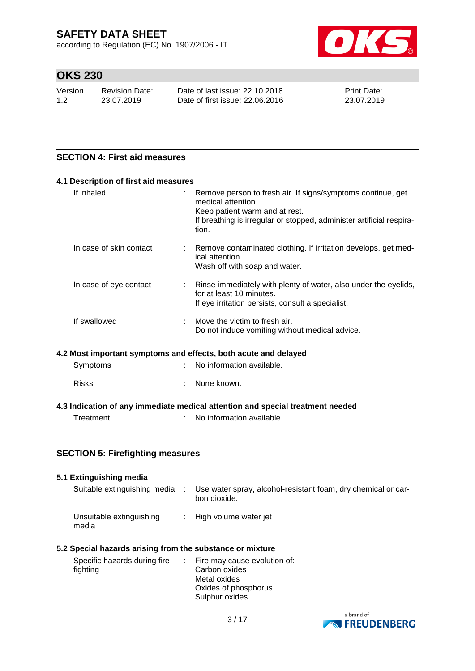according to Regulation (EC) No. 1907/2006 - IT



# **OKS 230**

| Version | Revision Date: | Date of last issue: 22.10.2018  | <b>Print Date:</b> |
|---------|----------------|---------------------------------|--------------------|
| 1.2     | 23.07.2019     | Date of first issue: 22,06,2016 | 23.07.2019         |

### **SECTION 4: First aid measures**

| 4.1 Description of first aid measures                           |                                                                                                                                                                                                      |
|-----------------------------------------------------------------|------------------------------------------------------------------------------------------------------------------------------------------------------------------------------------------------------|
| If inhaled                                                      | Remove person to fresh air. If signs/symptoms continue, get<br>medical attention.<br>Keep patient warm and at rest.<br>If breathing is irregular or stopped, administer artificial respira-<br>tion. |
| In case of skin contact                                         | Remove contaminated clothing. If irritation develops, get med-<br>ical attention.<br>Wash off with soap and water.                                                                                   |
| In case of eye contact                                          | : Rinse immediately with plenty of water, also under the eyelids,<br>for at least 10 minutes.<br>If eye irritation persists, consult a specialist.                                                   |
| If swallowed                                                    | Move the victim to fresh air.<br>Do not induce vomiting without medical advice.                                                                                                                      |
| 4.2 Most important symptoms and effects, both acute and delayed |                                                                                                                                                                                                      |
| Symptoms                                                        | No information available.                                                                                                                                                                            |
| <b>Risks</b>                                                    | None known.                                                                                                                                                                                          |
|                                                                 | 4.3 Indication of any immediate medical attention and special treatment needed                                                                                                                       |
| Treatment                                                       | No information available.                                                                                                                                                                            |

### **SECTION 5: Firefighting measures**

| 5.1 Extinguishing media           |                                                                               |
|-----------------------------------|-------------------------------------------------------------------------------|
| Suitable extinguishing media      | Use water spray, alcohol-resistant foam, dry chemical or car-<br>bon dioxide. |
| Unsuitable extinguishing<br>media | : High volume water jet                                                       |

### **5.2 Special hazards arising from the substance or mixture**

| Specific hazards during fire- | $\therefore$ Fire may cause evolution of: |
|-------------------------------|-------------------------------------------|
| fighting                      | Carbon oxides                             |
|                               | Metal oxides                              |
|                               | Oxides of phosphorus                      |
|                               | Sulphur oxides                            |

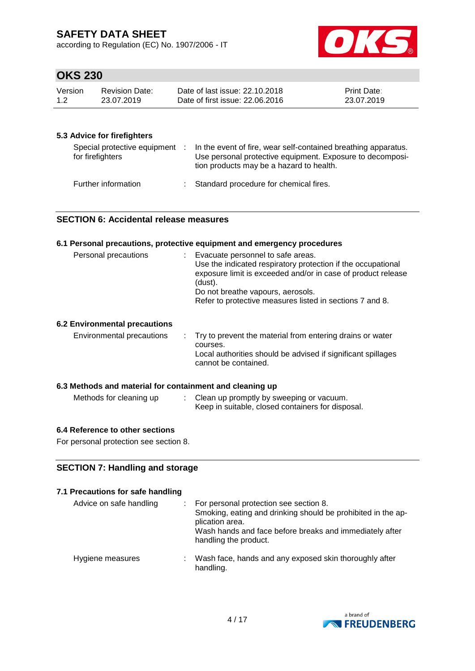according to Regulation (EC) No. 1907/2006 - IT



## **OKS 230**

| Version | Revision Date: | Date of last issue: 22.10.2018  | <b>Print Date:</b> |
|---------|----------------|---------------------------------|--------------------|
| 1.2     | 23.07.2019     | Date of first issue: 22,06,2016 | 23.07.2019         |

### **5.3 Advice for firefighters**

| Special protective equipment :<br>for firefighters | In the event of fire, wear self-contained breathing apparatus.<br>Use personal protective equipment. Exposure to decomposi-<br>tion products may be a hazard to health. |
|----------------------------------------------------|-------------------------------------------------------------------------------------------------------------------------------------------------------------------------|
| Further information                                | Standard procedure for chemical fires.                                                                                                                                  |

#### **SECTION 6: Accidental release measures**

## **6.1 Personal precautions, protective equipment and emergency procedures** Personal precautions : Evacuate personnel to safe areas. Use the indicated respiratory protection if the occupational exposure limit is exceeded and/or in case of product release (dust). Do not breathe vapours, aerosols. Refer to protective measures listed in sections 7 and 8. **6.2 Environmental precautions** Environmental precautions : Try to prevent the material from entering drains or water courses. Local authorities should be advised if significant spillages cannot be contained. **6.3 Methods and material for containment and cleaning up** Methods for cleaning up : Clean up promptly by sweeping or vacuum. Keep in suitable, closed containers for disposal.

#### **6.4 Reference to other sections**

For personal protection see section 8.

### **SECTION 7: Handling and storage**

### **7.1 Precautions for safe handling** Advice on safe handling : For personal protection see section 8. Smoking, eating and drinking should be prohibited in the application area. Wash hands and face before breaks and immediately after handling the product. Hygiene measures : Wash face, hands and any exposed skin thoroughly after handling.

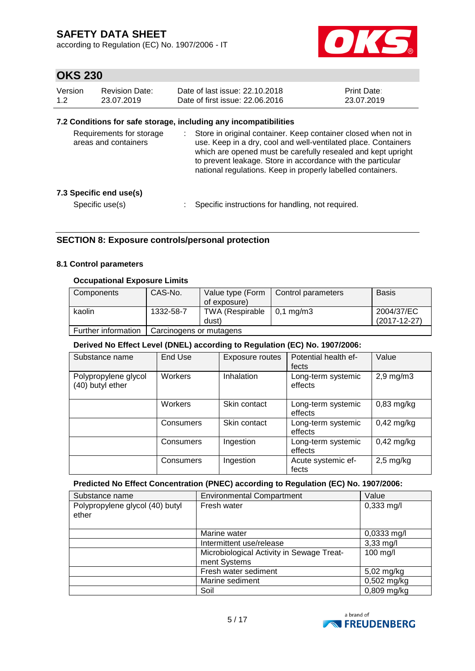according to Regulation (EC) No. 1907/2006 - IT



# **OKS 230**

| Version | Revision Date: | Date of last issue: 22.10.2018  | <b>Print Date:</b> |
|---------|----------------|---------------------------------|--------------------|
| 1.2     | 23.07.2019     | Date of first issue: 22.06.2016 | 23.07.2019         |

### **7.2 Conditions for safe storage, including any incompatibilities**

| Requirements for storage<br>areas and containers |  | Store in original container. Keep container closed when not in<br>use. Keep in a dry, cool and well-ventilated place. Containers<br>which are opened must be carefully resealed and kept upright<br>to prevent leakage. Store in accordance with the particular<br>national regulations. Keep in properly labelled containers. |
|--------------------------------------------------|--|--------------------------------------------------------------------------------------------------------------------------------------------------------------------------------------------------------------------------------------------------------------------------------------------------------------------------------|
| 7.3 Specific end use(s)                          |  |                                                                                                                                                                                                                                                                                                                                |
| Specific use(s)                                  |  | Specific instructions for handling, not required.                                                                                                                                                                                                                                                                              |

### **SECTION 8: Exposure controls/personal protection**

#### **8.1 Control parameters**

### **Occupational Exposure Limits**

| Components          | CAS-No.                 | Value type (Form | Control parameters | <b>Basis</b>   |  |  |
|---------------------|-------------------------|------------------|--------------------|----------------|--|--|
|                     |                         | of exposure)     |                    |                |  |  |
| kaolin              | 1332-58-7               | TWA (Respirable  | 0.1 ma/m3          | 2004/37/EC     |  |  |
|                     |                         | dust)            |                    | $(2017-12-27)$ |  |  |
| Further information | Carcinogens or mutagens |                  |                    |                |  |  |

#### **Derived No Effect Level (DNEL) according to Regulation (EC) No. 1907/2006:**

| Substance name       | End Use   | Exposure routes | Potential health ef- | Value          |
|----------------------|-----------|-----------------|----------------------|----------------|
|                      |           |                 |                      |                |
|                      |           |                 | fects                |                |
| Polypropylene glycol | Workers   | Inhalation      | Long-term systemic   | $2,9$ mg/m $3$ |
|                      |           |                 |                      |                |
| (40) butyl ether     |           |                 | effects              |                |
|                      |           |                 |                      |                |
|                      |           |                 |                      |                |
|                      | Workers   | Skin contact    | Long-term systemic   | $0,83$ mg/kg   |
|                      |           |                 |                      |                |
|                      |           |                 | effects              |                |
|                      | Consumers | Skin contact    | Long-term systemic   | $0,42$ mg/kg   |
|                      |           |                 |                      |                |
|                      |           |                 | effects              |                |
|                      | Consumers | Ingestion       | Long-term systemic   | $0,42$ mg/kg   |
|                      |           |                 |                      |                |
|                      |           |                 | effects              |                |
|                      |           |                 |                      |                |
|                      | Consumers | Ingestion       | Acute systemic ef-   | $2,5$ mg/kg    |
|                      |           |                 | fects                |                |
|                      |           |                 |                      |                |

#### **Predicted No Effect Concentration (PNEC) according to Regulation (EC) No. 1907/2006:**

| Substance name                           | <b>Environmental Compartment</b>                          | Value                |
|------------------------------------------|-----------------------------------------------------------|----------------------|
| Polypropylene glycol (40) butyl<br>ether | Fresh water                                               | $0,333 \text{ mg/l}$ |
|                                          | Marine water                                              | $0,0333$ mg/l        |
|                                          | Intermittent use/release                                  | $3,33$ mg/l          |
|                                          | Microbiological Activity in Sewage Treat-<br>ment Systems | 100 mg/l             |
|                                          | Fresh water sediment                                      | 5,02 mg/kg           |
|                                          | Marine sediment                                           | 0,502 mg/kg          |
|                                          | Soil                                                      | 0,809 mg/kg          |

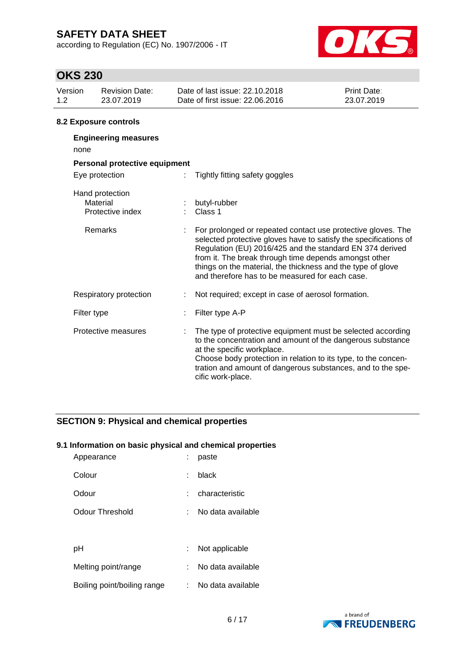according to Regulation (EC) No. 1907/2006 - IT



## **OKS 230**

| Version<br>1.2 <sub>2</sub> | <b>Revision Date:</b><br>23.07.2019             |  | Date of last issue: 22.10.2018<br>Date of first issue: 22.06.2016                                                                                                                                                                                                                                                                                                       | Print Date:<br>23.07.2019 |
|-----------------------------|-------------------------------------------------|--|-------------------------------------------------------------------------------------------------------------------------------------------------------------------------------------------------------------------------------------------------------------------------------------------------------------------------------------------------------------------------|---------------------------|
|                             | 8.2 Exposure controls                           |  |                                                                                                                                                                                                                                                                                                                                                                         |                           |
|                             | <b>Engineering measures</b><br>none             |  |                                                                                                                                                                                                                                                                                                                                                                         |                           |
|                             | Personal protective equipment                   |  |                                                                                                                                                                                                                                                                                                                                                                         |                           |
|                             | Eye protection                                  |  | Tightly fitting safety goggles                                                                                                                                                                                                                                                                                                                                          |                           |
|                             | Hand protection<br>Material<br>Protective index |  | butyl-rubber<br>Class 1                                                                                                                                                                                                                                                                                                                                                 |                           |
|                             | Remarks                                         |  | For prolonged or repeated contact use protective gloves. The<br>selected protective gloves have to satisfy the specifications of<br>Regulation (EU) 2016/425 and the standard EN 374 derived<br>from it. The break through time depends amongst other<br>things on the material, the thickness and the type of glove<br>and therefore has to be measured for each case. |                           |
|                             | Respiratory protection                          |  | Not required; except in case of aerosol formation.                                                                                                                                                                                                                                                                                                                      |                           |
|                             | Filter type                                     |  | Filter type A-P                                                                                                                                                                                                                                                                                                                                                         |                           |
|                             | Protective measures                             |  | The type of protective equipment must be selected according<br>to the concentration and amount of the dangerous substance                                                                                                                                                                                                                                               |                           |

at the specific workplace. Choose body protection in relation to its type, to the concentration and amount of dangerous substances, and to the specific work-place.

### **SECTION 9: Physical and chemical properties**

#### **9.1 Information on basic physical and chemical properties**

| Appearance                  |    | paste             |
|-----------------------------|----|-------------------|
| Colour                      | t  | black             |
| Odour                       |    | characteristic    |
| Odour Threshold             |    | No data available |
|                             |    |                   |
| рH                          | ÷. | Not applicable    |
| Melting point/range         |    | No data available |
| Boiling point/boiling range | t. | No data available |

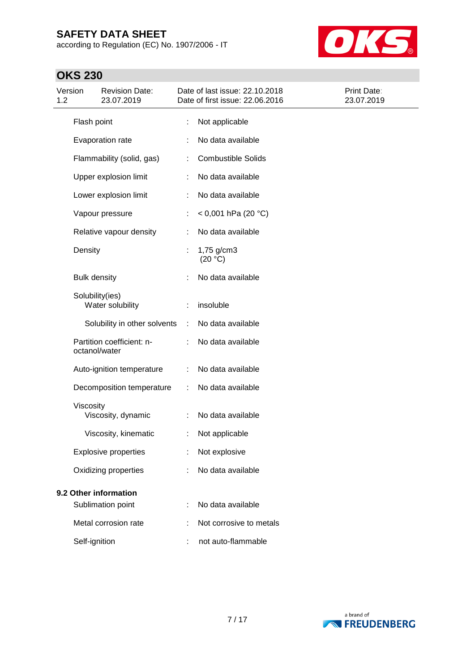according to Regulation (EC) No. 1907/2006 - IT



# **OKS 230**

| Version<br>1.2 |                     | <b>Revision Date:</b><br>23.07.2019 |   | Date of last issue: 22.10.2018<br>Date of first issue: 22.06.2016 | Print Date:<br>23.07.2019 |
|----------------|---------------------|-------------------------------------|---|-------------------------------------------------------------------|---------------------------|
|                | Flash point         |                                     | t | Not applicable                                                    |                           |
|                |                     | Evaporation rate                    |   | No data available                                                 |                           |
|                |                     | Flammability (solid, gas)           |   | <b>Combustible Solids</b>                                         |                           |
|                |                     | Upper explosion limit               |   | No data available                                                 |                           |
|                |                     | Lower explosion limit               | ÷ | No data available                                                 |                           |
|                |                     | Vapour pressure                     |   | < 0,001 hPa (20 °C)                                               |                           |
|                |                     | Relative vapour density             |   | No data available                                                 |                           |
|                | Density             |                                     |   | 1,75 g/cm3<br>(20 °C)                                             |                           |
|                | <b>Bulk density</b> |                                     |   | No data available                                                 |                           |
|                | Solubility(ies)     | Water solubility                    |   | insoluble                                                         |                           |
|                |                     | Solubility in other solvents        | ÷ | No data available                                                 |                           |
|                | octanol/water       | Partition coefficient: n-           |   | No data available                                                 |                           |
|                |                     | Auto-ignition temperature           |   | No data available                                                 |                           |
|                |                     | Decomposition temperature           |   | No data available                                                 |                           |
|                | Viscosity           | Viscosity, dynamic                  |   | No data available                                                 |                           |
|                |                     | Viscosity, kinematic                | t | Not applicable                                                    |                           |
|                |                     | <b>Explosive properties</b>         |   | Not explosive                                                     |                           |
|                |                     | Oxidizing properties                |   | No data available                                                 |                           |
|                |                     | 9.2 Other information               |   |                                                                   |                           |
|                |                     | Sublimation point                   |   | No data available                                                 |                           |
|                |                     | Metal corrosion rate                |   | Not corrosive to metals                                           |                           |
|                | Self-ignition       |                                     |   | not auto-flammable                                                |                           |

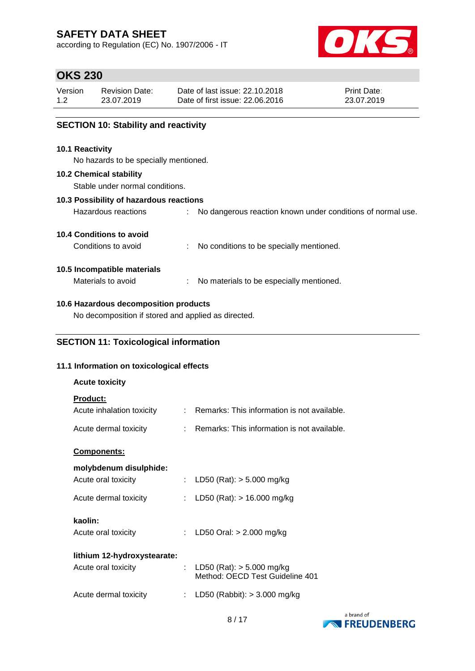according to Regulation (EC) No. 1907/2006 - IT



## **OKS 230**

| Version | <b>Revision Date:</b> | Date of last issue: 22.10.2018  | <b>Print Date:</b> |
|---------|-----------------------|---------------------------------|--------------------|
| 1.2     | 23.07.2019            | Date of first issue: 22,06,2016 | 23.07.2019         |

### **SECTION 10: Stability and reactivity**

#### **10.1 Reactivity**

No hazards to be specially mentioned.

#### **10.2 Chemical stability**

Stable under normal conditions.

#### **10.3 Possibility of hazardous reactions**

| Hazardous reactions |  | No dangerous reaction known under conditions of normal use. |  |  |  |  |  |  |  |
|---------------------|--|-------------------------------------------------------------|--|--|--|--|--|--|--|
|---------------------|--|-------------------------------------------------------------|--|--|--|--|--|--|--|

### **10.4 Conditions to avoid**

Conditions to avoid : No conditions to be specially mentioned.

### **10.5 Incompatible materials**

Materials to avoid : No materials to be especially mentioned.

### **10.6 Hazardous decomposition products**

No decomposition if stored and applied as directed.

### **SECTION 11: Toxicological information**

### **11.1 Information on toxicological effects**

| <b>Acute toxicity</b>                        |                                                                  |
|----------------------------------------------|------------------------------------------------------------------|
| <b>Product:</b><br>Acute inhalation toxicity | : Remarks: This information is not available.                    |
| Acute dermal toxicity                        | $\therefore$ Remarks: This information is not available.         |
| <b>Components:</b>                           |                                                                  |
| molybdenum disulphide:                       |                                                                  |
| Acute oral toxicity                          | LD50 (Rat): $> 5.000$ mg/kg                                      |
| Acute dermal toxicity                        | LD50 (Rat): $> 16.000$ mg/kg                                     |
| kaolin:                                      |                                                                  |
| Acute oral toxicity                          | LD50 Oral: $> 2.000$ mg/kg                                       |
| lithium 12-hydroxystearate:                  |                                                                  |
|                                              |                                                                  |
| Acute oral toxicity                          | : LD50 (Rat): $>$ 5.000 mg/kg<br>Method: OECD Test Guideline 401 |
| Acute dermal toxicity                        | LD50 (Rabbit): $>$ 3.000 mg/kg                                   |
|                                              |                                                                  |

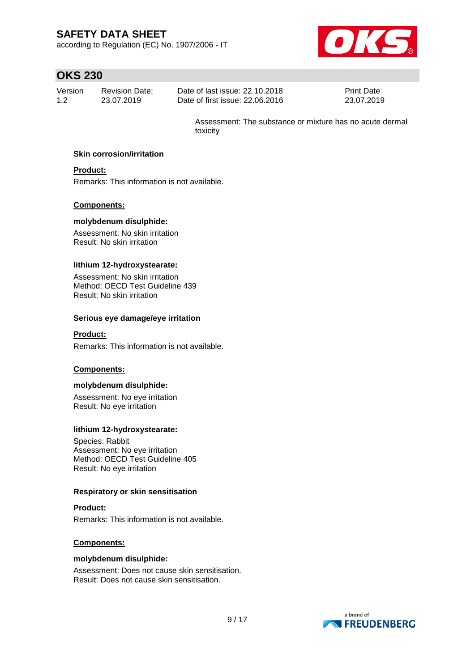according to Regulation (EC) No. 1907/2006 - IT



# **OKS 230**

| Version | Revision Date: | Date of last issue: 22.10.2018  | <b>Print Date:</b> |
|---------|----------------|---------------------------------|--------------------|
| 1.2     | 23.07.2019     | Date of first issue: 22,06,2016 | 23.07.2019         |

Assessment: The substance or mixture has no acute dermal toxicity

#### **Skin corrosion/irritation**

### **Product:**

Remarks: This information is not available.

#### **Components:**

#### **molybdenum disulphide:**

Assessment: No skin irritation Result: No skin irritation

#### **lithium 12-hydroxystearate:**

Assessment: No skin irritation Method: OECD Test Guideline 439 Result: No skin irritation

#### **Serious eye damage/eye irritation**

#### **Product:**

Remarks: This information is not available.

#### **Components:**

#### **molybdenum disulphide:**

Assessment: No eye irritation Result: No eye irritation

#### **lithium 12-hydroxystearate:**

Species: Rabbit Assessment: No eye irritation Method: OECD Test Guideline 405 Result: No eye irritation

#### **Respiratory or skin sensitisation**

### **Product:**

Remarks: This information is not available.

#### **Components:**

#### **molybdenum disulphide:**

Assessment: Does not cause skin sensitisation. Result: Does not cause skin sensitisation.

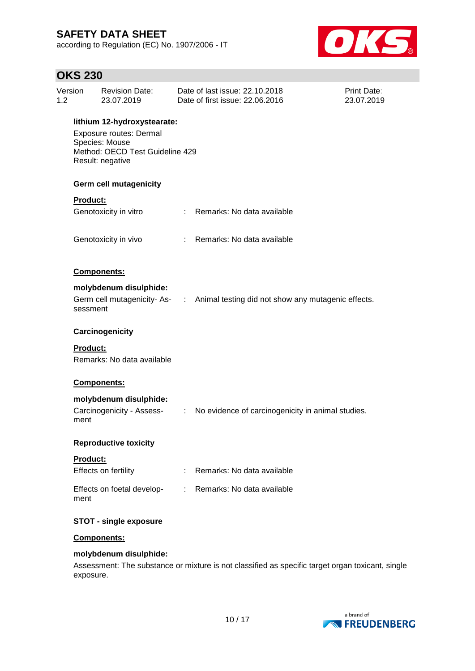according to Regulation (EC) No. 1907/2006 - IT



## **OKS 230**

| Version<br>1.2 | <b>Revision Date:</b><br>23.07.2019                                                                                                    |  | Date of last issue: 22.10.2018<br>Date of first issue: 22,06,2016               | <b>Print Date:</b><br>23.07.2019 |  |  |  |  |
|----------------|----------------------------------------------------------------------------------------------------------------------------------------|--|---------------------------------------------------------------------------------|----------------------------------|--|--|--|--|
|                | lithium 12-hydroxystearate:<br><b>Exposure routes: Dermal</b><br>Species: Mouse<br>Method: OECD Test Guideline 429<br>Result: negative |  |                                                                                 |                                  |  |  |  |  |
|                | Germ cell mutagenicity                                                                                                                 |  |                                                                                 |                                  |  |  |  |  |
|                | <b>Product:</b>                                                                                                                        |  |                                                                                 |                                  |  |  |  |  |
|                | Genotoxicity in vitro                                                                                                                  |  | : Remarks: No data available                                                    |                                  |  |  |  |  |
|                | Genotoxicity in vivo                                                                                                                   |  | : Remarks: No data available                                                    |                                  |  |  |  |  |
|                | Components:                                                                                                                            |  |                                                                                 |                                  |  |  |  |  |
|                | molybdenum disulphide:                                                                                                                 |  |                                                                                 |                                  |  |  |  |  |
|                | sessment                                                                                                                               |  | Germ cell mutagenicity-As- : Animal testing did not show any mutagenic effects. |                                  |  |  |  |  |
|                | Carcinogenicity                                                                                                                        |  |                                                                                 |                                  |  |  |  |  |
|                | <b>Product:</b><br>Remarks: No data available                                                                                          |  |                                                                                 |                                  |  |  |  |  |
|                | Components:                                                                                                                            |  |                                                                                 |                                  |  |  |  |  |
|                | molybdenum disulphide:                                                                                                                 |  |                                                                                 |                                  |  |  |  |  |
| ment           | Carcinogenicity - Assess-                                                                                                              |  | : No evidence of carcinogenicity in animal studies.                             |                                  |  |  |  |  |
|                | <b>Reproductive toxicity</b>                                                                                                           |  |                                                                                 |                                  |  |  |  |  |
|                | <b>Product:</b>                                                                                                                        |  |                                                                                 |                                  |  |  |  |  |
|                | Effects on fertility                                                                                                                   |  | Remarks: No data available                                                      |                                  |  |  |  |  |
| ment           | Effects on foetal develop-                                                                                                             |  | : Remarks: No data available                                                    |                                  |  |  |  |  |
|                | <b>STOT - single exposure</b>                                                                                                          |  |                                                                                 |                                  |  |  |  |  |
|                | Components:                                                                                                                            |  |                                                                                 |                                  |  |  |  |  |
|                | molybdenum disulphide:                                                                                                                 |  |                                                                                 |                                  |  |  |  |  |
|                |                                                                                                                                        |  |                                                                                 |                                  |  |  |  |  |

Assessment: The substance or mixture is not classified as specific target organ toxicant, single exposure.

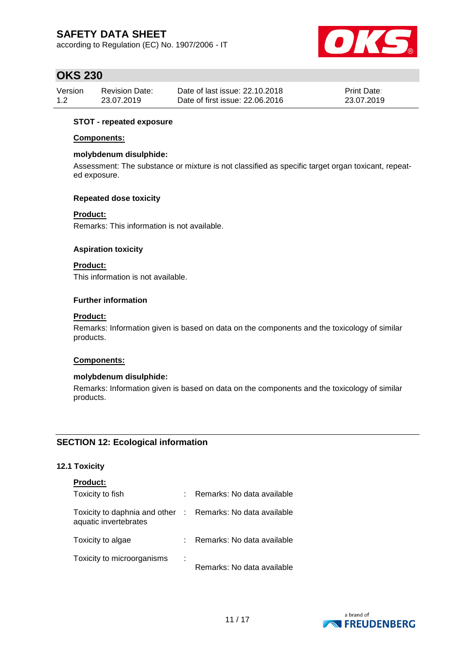according to Regulation (EC) No. 1907/2006 - IT



## **OKS 230**

| Version | Revision Date: | Date of last issue: 22.10.2018  | <b>Print Date:</b> |
|---------|----------------|---------------------------------|--------------------|
| 1.2     | 23.07.2019     | Date of first issue: 22,06,2016 | 23.07.2019         |

### **STOT - repeated exposure**

#### **Components:**

#### **molybdenum disulphide:**

Assessment: The substance or mixture is not classified as specific target organ toxicant, repeated exposure.

#### **Repeated dose toxicity**

#### **Product:**

Remarks: This information is not available.

#### **Aspiration toxicity**

### **Product:**

This information is not available.

#### **Further information**

#### **Product:**

Remarks: Information given is based on data on the components and the toxicology of similar products.

#### **Components:**

#### **molybdenum disulphide:**

Remarks: Information given is based on data on the components and the toxicology of similar products.

### **SECTION 12: Ecological information**

### **12.1 Toxicity**

| <b>Product:</b>                                                                     |   |                            |
|-------------------------------------------------------------------------------------|---|----------------------------|
| Toxicity to fish                                                                    |   | Remarks: No data available |
| Toxicity to daphnia and other : Remarks: No data available<br>aquatic invertebrates |   |                            |
| Toxicity to algae                                                                   |   | Remarks: No data available |
| Toxicity to microorganisms                                                          | ÷ | Remarks: No data available |

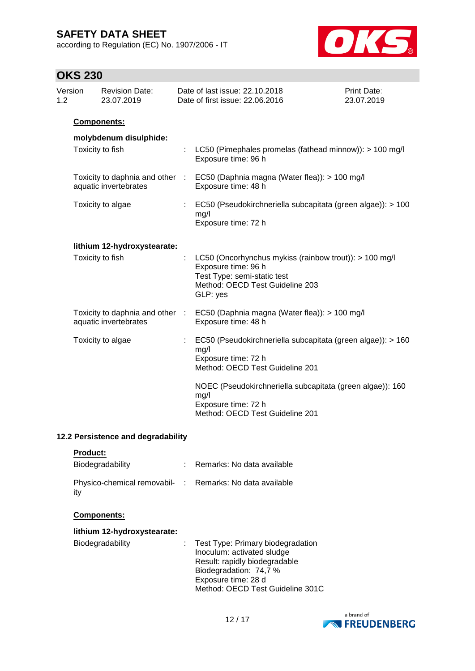according to Regulation (EC) No. 1907/2006 - IT



## **OKS 230**

| Version<br>1.2 | <b>Revision Date:</b><br>23.07.2019                      |                | Date of last issue: 22.10.2018<br>Date of first issue: 22.06.2016                                                                                           | Print Date:<br>23.07.2019 |
|----------------|----------------------------------------------------------|----------------|-------------------------------------------------------------------------------------------------------------------------------------------------------------|---------------------------|
|                | Components:                                              |                |                                                                                                                                                             |                           |
|                | molybdenum disulphide:                                   |                |                                                                                                                                                             |                           |
|                | Toxicity to fish                                         |                | LC50 (Pimephales promelas (fathead minnow)): > 100 mg/l<br>Exposure time: 96 h                                                                              |                           |
|                | Toxicity to daphnia and other<br>aquatic invertebrates   | $\sim 10^{-1}$ | EC50 (Daphnia magna (Water flea)): > 100 mg/l<br>Exposure time: 48 h                                                                                        |                           |
|                | Toxicity to algae                                        |                | EC50 (Pseudokirchneriella subcapitata (green algae)): > 100<br>mg/l<br>Exposure time: 72 h                                                                  |                           |
|                | lithium 12-hydroxystearate:                              |                |                                                                                                                                                             |                           |
|                | Toxicity to fish                                         | ÷              | LC50 (Oncorhynchus mykiss (rainbow trout)): > 100 mg/l<br>Exposure time: 96 h<br>Test Type: semi-static test<br>Method: OECD Test Guideline 203<br>GLP: yes |                           |
|                | Toxicity to daphnia and other :<br>aquatic invertebrates |                | EC50 (Daphnia magna (Water flea)): > 100 mg/l<br>Exposure time: 48 h                                                                                        |                           |
|                | Toxicity to algae                                        |                | EC50 (Pseudokirchneriella subcapitata (green algae)): > 160<br>mg/l<br>Exposure time: 72 h<br>Method: OECD Test Guideline 201                               |                           |
|                |                                                          |                | NOEC (Pseudokirchneriella subcapitata (green algae)): 160<br>mg/l<br>Exposure time: 72 h<br>Method: OECD Test Guideline 201                                 |                           |

### **12.2 Persistence and degradability**

|  | <b>Product:</b> |  |
|--|-----------------|--|
|  |                 |  |

| Biodegradability                                                | Remarks: No data available |
|-----------------------------------------------------------------|----------------------------|
| Physico-chemical removabil- : Remarks: No data available<br>ity |                            |

### **Components:**

| lithium 12-hydroxystearate: |                                                                                                                                                     |
|-----------------------------|-----------------------------------------------------------------------------------------------------------------------------------------------------|
| Biodegradability            | : Test Type: Primary biodegradation<br>Inoculum: activated sludge<br>Result: rapidly biodegradable<br>Biodegradation: 74,7 %<br>Exposure time: 28 d |

Method: OECD Test Guideline 301C

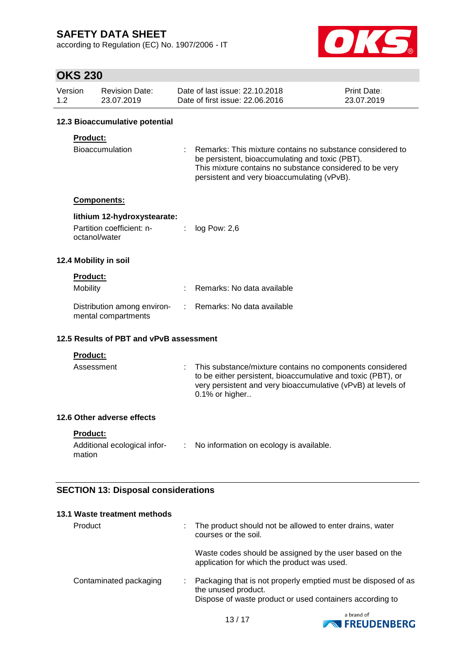according to Regulation (EC) No. 1907/2006 - IT



# **OKS 230**

| Version | <b>Revision Date:</b> | Date of last issue: 22.10.2018  | <b>Print Date:</b> |
|---------|-----------------------|---------------------------------|--------------------|
| 1.2     | 23.07.2019            | Date of first issue: 22,06,2016 | 23.07.2019         |

### **12.3 Bioaccumulative potential**

### **Product:**

| <b>Bioaccumulation</b> |  | : Remarks: This mixture contains no substance considered to |
|------------------------|--|-------------------------------------------------------------|
|                        |  | be persistent, bioaccumulating and toxic (PBT).             |
|                        |  | This mixture contains no substance considered to be very    |
|                        |  | persistent and very bioaccumulating (vPvB).                 |

#### **Components:**

### **lithium 12-hydroxystearate:**

| Partition coefficient: n- | $log$ Pow: 2,6 |
|---------------------------|----------------|
| octanol/water             |                |

#### **12.4 Mobility in soil**

### **Product:**

| Mobility                                           | : Remarks: No data available |
|----------------------------------------------------|------------------------------|
| Distribution among environ-<br>mental compartments | : Remarks: No data available |

### **12.5 Results of PBT and vPvB assessment**

#### **Product:**

| Assessment | : This substance/mixture contains no components considered<br>to be either persistent, bioaccumulative and toxic (PBT), or<br>very persistent and very bioaccumulative (vPvB) at levels of<br>$0.1\%$ or higher |
|------------|-----------------------------------------------------------------------------------------------------------------------------------------------------------------------------------------------------------------|
|            |                                                                                                                                                                                                                 |

### **12.6 Other adverse effects**

**Product:**

| Additional ecological infor- | No information on ecology is available. |
|------------------------------|-----------------------------------------|
| mation                       |                                         |

### **SECTION 13: Disposal considerations**

| 13.1 Waste treatment methods |   |                                                                                                                                                  |
|------------------------------|---|--------------------------------------------------------------------------------------------------------------------------------------------------|
| Product                      | ÷ | The product should not be allowed to enter drains, water<br>courses or the soil.                                                                 |
|                              |   | Waste codes should be assigned by the user based on the<br>application for which the product was used.                                           |
| Contaminated packaging       |   | Packaging that is not properly emptied must be disposed of as<br>the unused product.<br>Dispose of waste product or used containers according to |

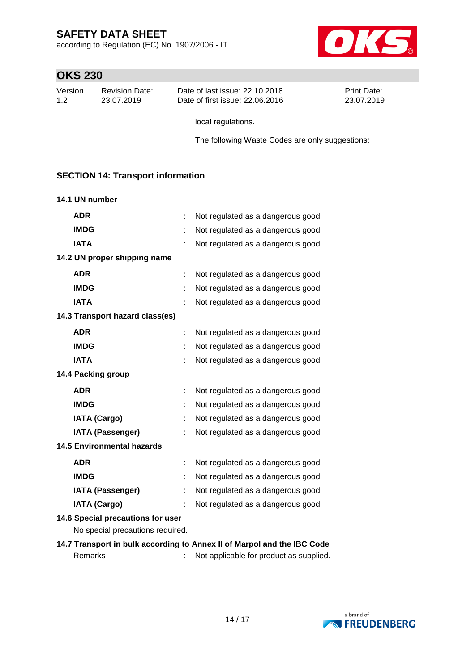according to Regulation (EC) No. 1907/2006 - IT



# **OKS 230**

| Version | <b>Revision Date:</b> | Date of last issue: 22.10.2018  | <b>Print Date:</b> |
|---------|-----------------------|---------------------------------|--------------------|
| 1.2     | 23.07.2019            | Date of first issue: 22,06,2016 | 23.07.2019         |

local regulations.

The following Waste Codes are only suggestions:

### **SECTION 14: Transport information**

#### **14.1 UN number**

| <b>ADR</b>                                                            | t | Not regulated as a dangerous good |  |  |  |
|-----------------------------------------------------------------------|---|-----------------------------------|--|--|--|
| <b>IMDG</b>                                                           |   | Not regulated as a dangerous good |  |  |  |
| <b>IATA</b>                                                           |   | Not regulated as a dangerous good |  |  |  |
| 14.2 UN proper shipping name                                          |   |                                   |  |  |  |
| <b>ADR</b>                                                            | ÷ | Not regulated as a dangerous good |  |  |  |
| <b>IMDG</b>                                                           |   | Not regulated as a dangerous good |  |  |  |
| <b>IATA</b>                                                           |   | Not regulated as a dangerous good |  |  |  |
| 14.3 Transport hazard class(es)                                       |   |                                   |  |  |  |
| <b>ADR</b>                                                            |   | Not regulated as a dangerous good |  |  |  |
| <b>IMDG</b>                                                           |   | Not regulated as a dangerous good |  |  |  |
| <b>IATA</b>                                                           |   | Not regulated as a dangerous good |  |  |  |
| 14.4 Packing group                                                    |   |                                   |  |  |  |
| <b>ADR</b>                                                            |   | Not regulated as a dangerous good |  |  |  |
| <b>IMDG</b>                                                           |   | Not regulated as a dangerous good |  |  |  |
| <b>IATA (Cargo)</b>                                                   | t | Not regulated as a dangerous good |  |  |  |
| <b>IATA (Passenger)</b>                                               |   | Not regulated as a dangerous good |  |  |  |
| <b>14.5 Environmental hazards</b>                                     |   |                                   |  |  |  |
| <b>ADR</b>                                                            | t | Not regulated as a dangerous good |  |  |  |
| <b>IMDG</b>                                                           |   | Not regulated as a dangerous good |  |  |  |
| <b>IATA (Passenger)</b>                                               |   | Not regulated as a dangerous good |  |  |  |
| <b>IATA (Cargo)</b>                                                   |   | Not regulated as a dangerous good |  |  |  |
| 14.6 Special precautions for user<br>No special precautions required. |   |                                   |  |  |  |

**14.7 Transport in bulk according to Annex II of Marpol and the IBC Code** Remarks : Not applicable for product as supplied.

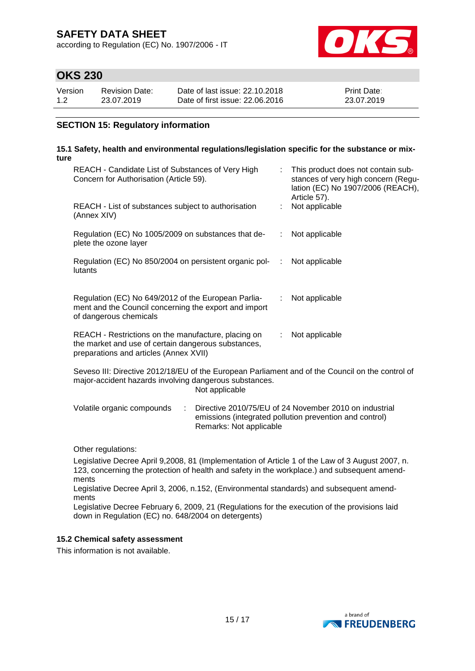according to Regulation (EC) No. 1907/2006 - IT



## **OKS 230**

| Version | <b>Revision Date:</b> | Date of last issue: 22.10.2018  | <b>Print Date:</b> |
|---------|-----------------------|---------------------------------|--------------------|
| 1.2     | 23.07.2019            | Date of first issue: 22,06,2016 | 23.07.2019         |

### **SECTION 15: Regulatory information**

#### **15.1 Safety, health and environmental regulations/legislation specific for the substance or mixture**

| REACH - Candidate List of Substances of Very High<br>Concern for Authorisation (Article 59).                                                                                 |    | This product does not contain sub-<br>stances of very high concern (Regu-<br>lation (EC) No 1907/2006 (REACH),<br>Article 57). |
|------------------------------------------------------------------------------------------------------------------------------------------------------------------------------|----|--------------------------------------------------------------------------------------------------------------------------------|
| REACH - List of substances subject to authorisation<br>(Annex XIV)                                                                                                           |    | Not applicable                                                                                                                 |
| Regulation (EC) No 1005/2009 on substances that de-<br>plete the ozone layer                                                                                                 |    | : Not applicable                                                                                                               |
| Regulation (EC) No 850/2004 on persistent organic pol-<br>lutants                                                                                                            | ÷. | Not applicable                                                                                                                 |
| Regulation (EC) No 649/2012 of the European Parlia-<br>ment and the Council concerning the export and import<br>of dangerous chemicals                                       | t. | Not applicable                                                                                                                 |
| REACH - Restrictions on the manufacture, placing on<br>the market and use of certain dangerous substances,<br>preparations and articles (Annex XVII)                         | t. | Not applicable                                                                                                                 |
| Seveso III: Directive 2012/18/EU of the European Parliament and of the Council on the control of<br>major-accident hazards involving dangerous substances.<br>Not applicable |    |                                                                                                                                |

| Volatile organic compounds | $\therefore$ Directive 2010/75/EU of 24 November 2010 on industrial |  |
|----------------------------|---------------------------------------------------------------------|--|
|                            | emissions (integrated pollution prevention and control)             |  |
|                            | Remarks: Not applicable                                             |  |

Other regulations:

Legislative Decree April 9,2008, 81 (Implementation of Article 1 of the Law of 3 August 2007, n. 123, concerning the protection of health and safety in the workplace.) and subsequent amendments

Legislative Decree April 3, 2006, n.152, (Environmental standards) and subsequent amendments

Legislative Decree February 6, 2009, 21 (Regulations for the execution of the provisions laid down in Regulation (EC) no. 648/2004 on detergents)

#### **15.2 Chemical safety assessment**

This information is not available.

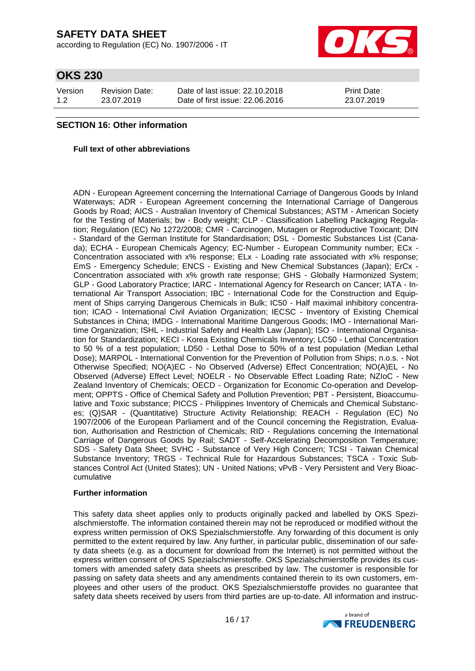according to Regulation (EC) No. 1907/2006 - IT



## **OKS 230**

| Version | <b>Revision Date:</b> | Date of last issue: 22.10.2018  | <b>Print Date:</b> |
|---------|-----------------------|---------------------------------|--------------------|
| 1.2     | 23.07.2019            | Date of first issue: 22,06,2016 | 23.07.2019         |

### **SECTION 16: Other information**

#### **Full text of other abbreviations**

ADN - European Agreement concerning the International Carriage of Dangerous Goods by Inland Waterways; ADR - European Agreement concerning the International Carriage of Dangerous Goods by Road; AICS - Australian Inventory of Chemical Substances; ASTM - American Society for the Testing of Materials; bw - Body weight; CLP - Classification Labelling Packaging Regulation; Regulation (EC) No 1272/2008; CMR - Carcinogen, Mutagen or Reproductive Toxicant; DIN - Standard of the German Institute for Standardisation; DSL - Domestic Substances List (Canada); ECHA - European Chemicals Agency; EC-Number - European Community number; ECx - Concentration associated with x% response; ELx - Loading rate associated with x% response; EmS - Emergency Schedule; ENCS - Existing and New Chemical Substances (Japan); ErCx - Concentration associated with x% growth rate response; GHS - Globally Harmonized System; GLP - Good Laboratory Practice; IARC - International Agency for Research on Cancer; IATA - International Air Transport Association; IBC - International Code for the Construction and Equipment of Ships carrying Dangerous Chemicals in Bulk; IC50 - Half maximal inhibitory concentration; ICAO - International Civil Aviation Organization; IECSC - Inventory of Existing Chemical Substances in China; IMDG - International Maritime Dangerous Goods; IMO - International Maritime Organization; ISHL - Industrial Safety and Health Law (Japan); ISO - International Organisation for Standardization; KECI - Korea Existing Chemicals Inventory; LC50 - Lethal Concentration to 50 % of a test population; LD50 - Lethal Dose to 50% of a test population (Median Lethal Dose); MARPOL - International Convention for the Prevention of Pollution from Ships; n.o.s. - Not Otherwise Specified; NO(A)EC - No Observed (Adverse) Effect Concentration; NO(A)EL - No Observed (Adverse) Effect Level; NOELR - No Observable Effect Loading Rate; NZIoC - New Zealand Inventory of Chemicals; OECD - Organization for Economic Co-operation and Development; OPPTS - Office of Chemical Safety and Pollution Prevention; PBT - Persistent, Bioaccumulative and Toxic substance; PICCS - Philippines Inventory of Chemicals and Chemical Substances; (Q)SAR - (Quantitative) Structure Activity Relationship; REACH - Regulation (EC) No 1907/2006 of the European Parliament and of the Council concerning the Registration, Evaluation, Authorisation and Restriction of Chemicals; RID - Regulations concerning the International Carriage of Dangerous Goods by Rail; SADT - Self-Accelerating Decomposition Temperature; SDS - Safety Data Sheet; SVHC - Substance of Very High Concern; TCSI - Taiwan Chemical Substance Inventory; TRGS - Technical Rule for Hazardous Substances; TSCA - Toxic Substances Control Act (United States); UN - United Nations; vPvB - Very Persistent and Very Bioaccumulative

#### **Further information**

This safety data sheet applies only to products originally packed and labelled by OKS Spezialschmierstoffe. The information contained therein may not be reproduced or modified without the express written permission of OKS Spezialschmierstoffe. Any forwarding of this document is only permitted to the extent required by law. Any further, in particular public, dissemination of our safety data sheets (e.g. as a document for download from the Internet) is not permitted without the express written consent of OKS Spezialschmierstoffe. OKS Spezialschmierstoffe provides its customers with amended safety data sheets as prescribed by law. The customer is responsible for passing on safety data sheets and any amendments contained therein to its own customers, employees and other users of the product. OKS Spezialschmierstoffe provides no guarantee that safety data sheets received by users from third parties are up-to-date. All information and instruc-